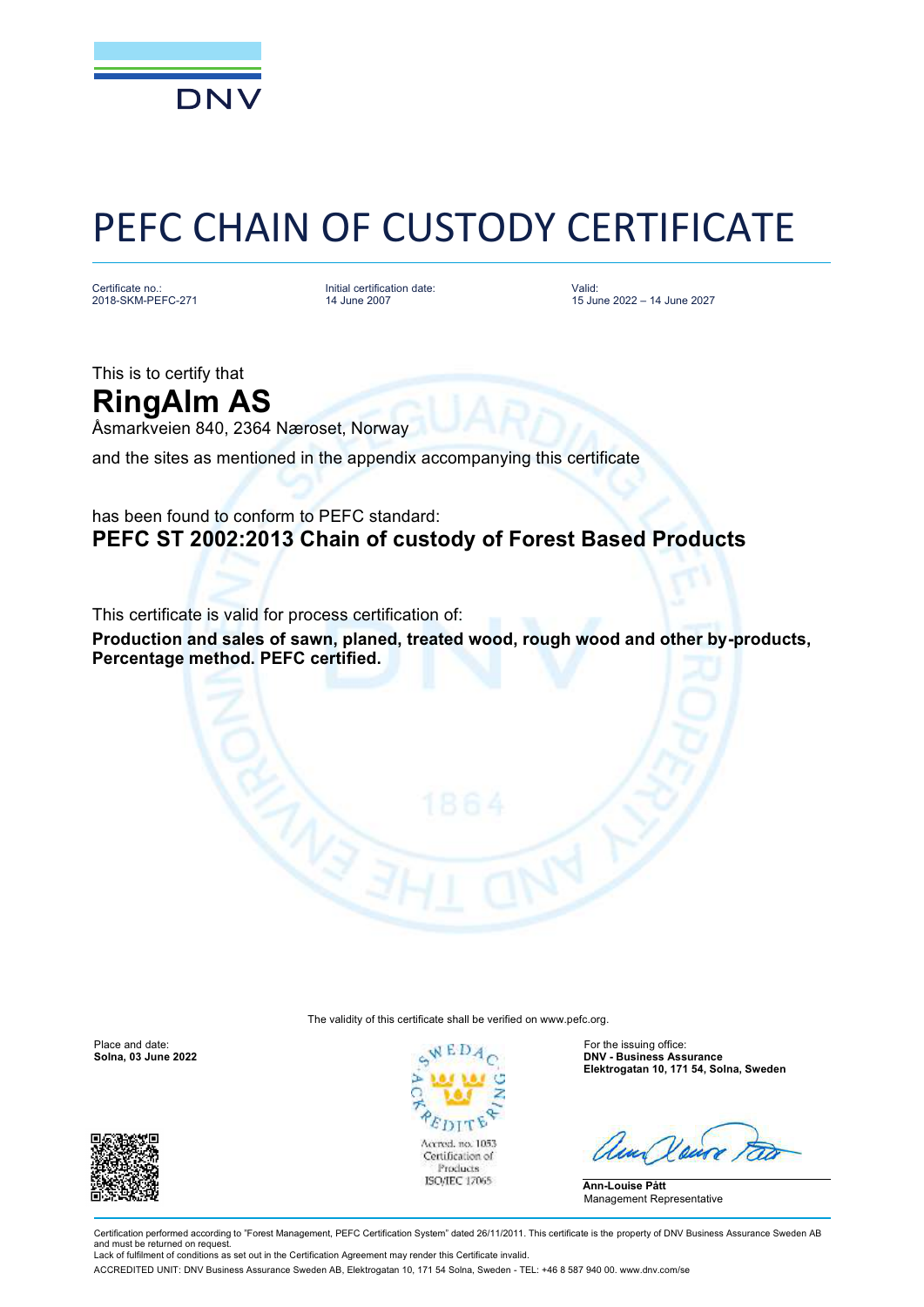

## PEFC CHAIN OF CUSTODY CERTIFICATE

Certificate no.: 2018-SKM-PEFC-271 Initial certification date: 14 June 2007

Valid: 15 June 2022 – 14 June 2027

This is to certify that **RingAlm AS**

Åsmarkveien 840, 2364 Næroset, Norway

and the sites as mentioned in the appendix accompanying this certificate

## has been found to conform to PEFC standard: **PEFC ST 2002:2013 Chain of custody of Forest Based Products**

This certificate is valid for process certification of:

**Production and sales of sawn, planed, treated wood, rough wood and other by-products, Percentage method. PEFC certified.**

The validity of this certificate shall be verified on [www.pefc.org.](http://www.pefc.org)





**Solna, 03 June 2022 DNV - Business Assurance Elektrogatan 10, 171 54, Solna, Sweden**

**Ann-Louise Pått** Management Representative

Certification performed according to "Forest Management, PEFC Certification System" dated 26/11/2011. This certificate is the property of DNV Business Assurance Sweden AB and must be returned on request Lack of fulfilment of conditions as set out in the Certification Agreement may render this Certificate invalid.

ACCREDITED UNIT: DNV Business Assurance Sweden AB, Elektrogatan 10, 171 54 Solna, Sweden - TEL: +46 8 587 940 00. [www.dnv.com/se](http://www.dnv.com/se)